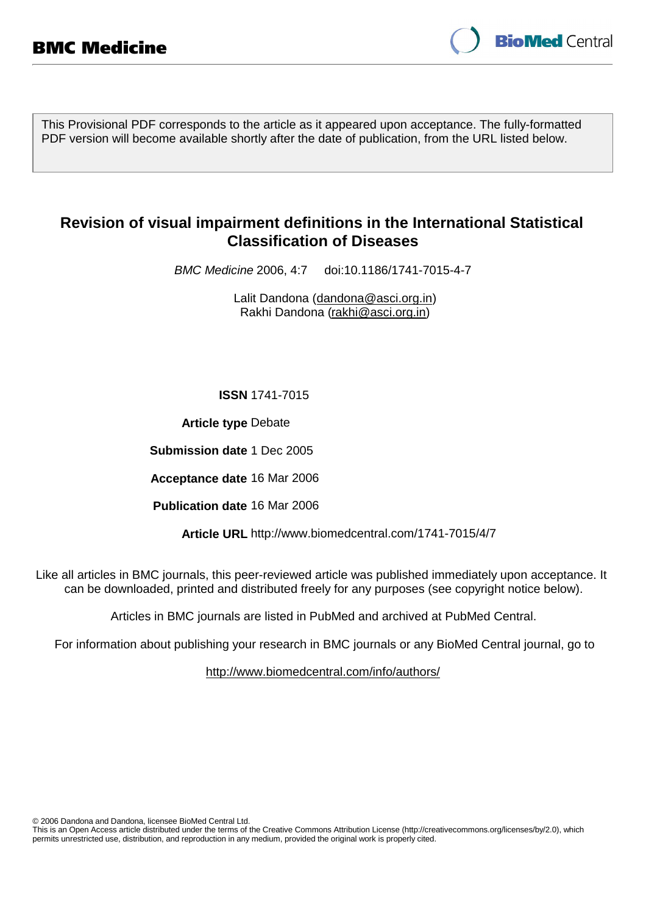

This Provisional PDF corresponds to the article as it appeared upon acceptance. The fully-formatted PDF version will become available shortly after the date of publication, from the URL listed below.

# **Revision of visual impairment definitions in the International Statistical Classification of Diseases**

BMC Medicine 2006, 4:7 doi:10.1186/1741-7015-4-7

Lalit Dandona (dandona@asci.org.in) Rakhi Dandona (rakhi@asci.org.in)

**ISSN** 1741-7015

**Article type** Debate

**Submission date** 1 Dec 2005

**Acceptance date** 16 Mar 2006

**Publication date** 16 Mar 2006

**Article URL** http://www.biomedcentral.com/1741-7015/4/7

Like all articles in BMC journals, this peer-reviewed article was published immediately upon acceptance. It can be downloaded, printed and distributed freely for any purposes (see copyright notice below).

Articles in BMC journals are listed in PubMed and archived at PubMed Central.

For information about publishing your research in BMC journals or any BioMed Central journal, go to

http://www.biomedcentral.com/info/authors/

© 2006 Dandona and Dandona, licensee BioMed Central Ltd.

This is an Open Access article distributed under the terms of the Creative Commons Attribution License (http://creativecommons.org/licenses/by/2.0), which permits unrestricted use, distribution, and reproduction in any medium, provided the original work is properly cited.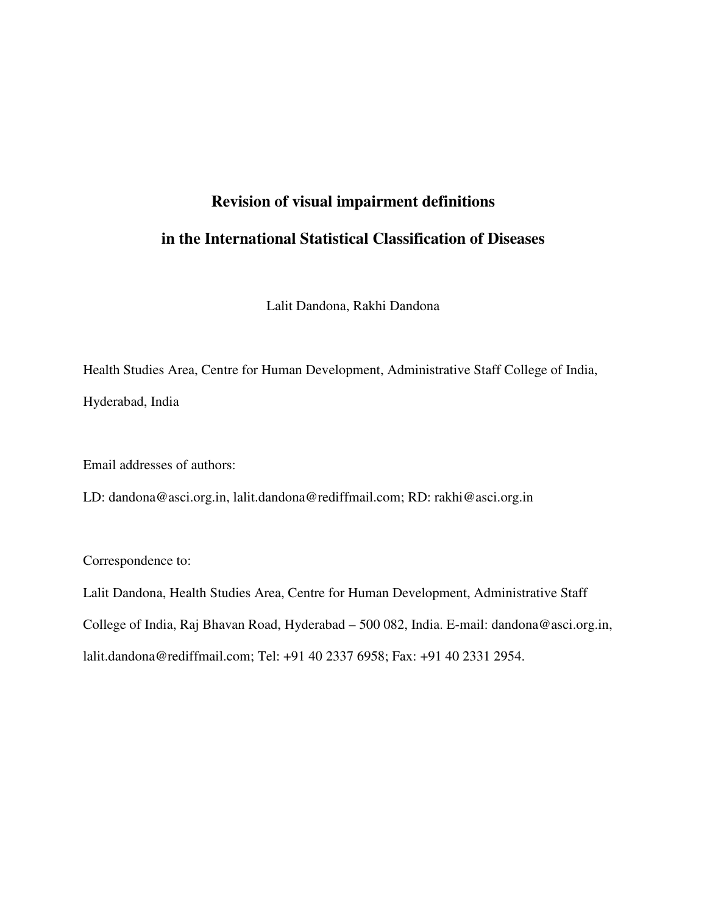# **Revision of visual impairment definitions in the International Statistical Classification of Diseases**

Lalit Dandona, Rakhi Dandona

Health Studies Area, Centre for Human Development, Administrative Staff College of India, Hyderabad, India

Email addresses of authors:

LD: dandona@asci.org.in, lalit.dandona@rediffmail.com; RD: rakhi@asci.org.in

Correspondence to:

Lalit Dandona, Health Studies Area, Centre for Human Development, Administrative Staff College of India, Raj Bhavan Road, Hyderabad – 500 082, India. E-mail: dandona@asci.org.in, lalit.dandona@rediffmail.com; Tel: +91 40 2337 6958; Fax: +91 40 2331 2954.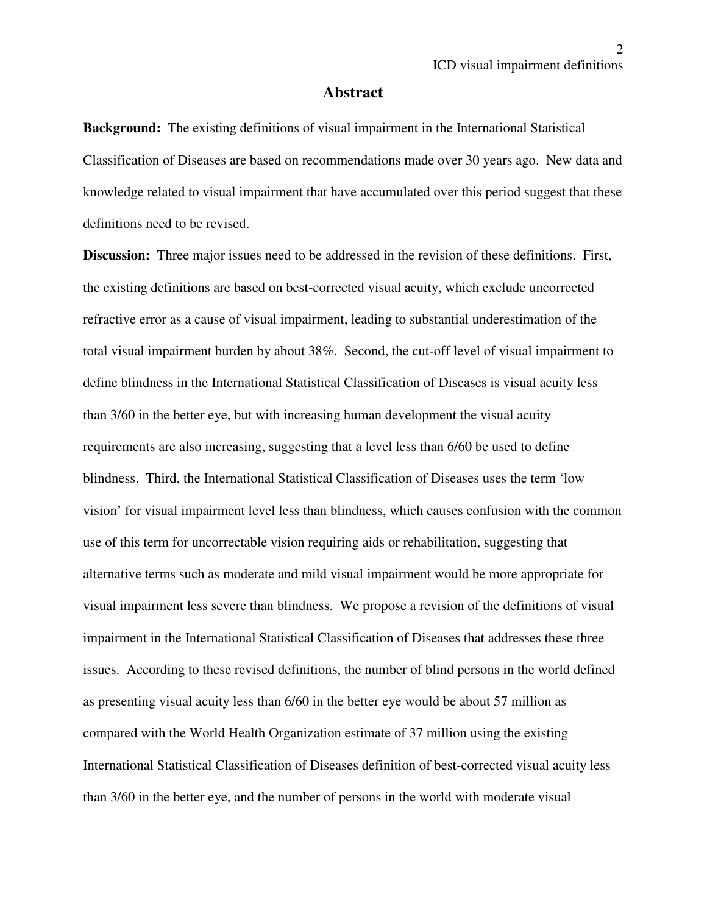#### **Abstract**

**Background:** The existing definitions of visual impairment in the International Statistical Classification of Diseases are based on recommendations made over 30 years ago. New data and knowledge related to visual impairment that have accumulated over this period suggest that these definitions need to be revised.

**Discussion:** Three major issues need to be addressed in the revision of these definitions. First, the existing definitions are based on best-corrected visual acuity, which exclude uncorrected refractive error as a cause of visual impairment, leading to substantial underestimation of the total visual impairment burden by about 38%. Second, the cut-off level of visual impairment to define blindness in the International Statistical Classification of Diseases is visual acuity less than 3/60 in the better eye, but with increasing human development the visual acuity requirements are also increasing, suggesting that a level less than 6/60 be used to define blindness. Third, the International Statistical Classification of Diseases uses the term 'low vision' for visual impairment level less than blindness, which causes confusion with the common use of this term for uncorrectable vision requiring aids or rehabilitation, suggesting that alternative terms such as moderate and mild visual impairment would be more appropriate for visual impairment less severe than blindness. We propose a revision of the definitions of visual impairment in the International Statistical Classification of Diseases that addresses these three issues. According to these revised definitions, the number of blind persons in the world defined as presenting visual acuity less than 6/60 in the better eye would be about 57 million as compared with the World Health Organization estimate of 37 million using the existing International Statistical Classification of Diseases definition of best-corrected visual acuity less than 3/60 in the better eye, and the number of persons in the world with moderate visual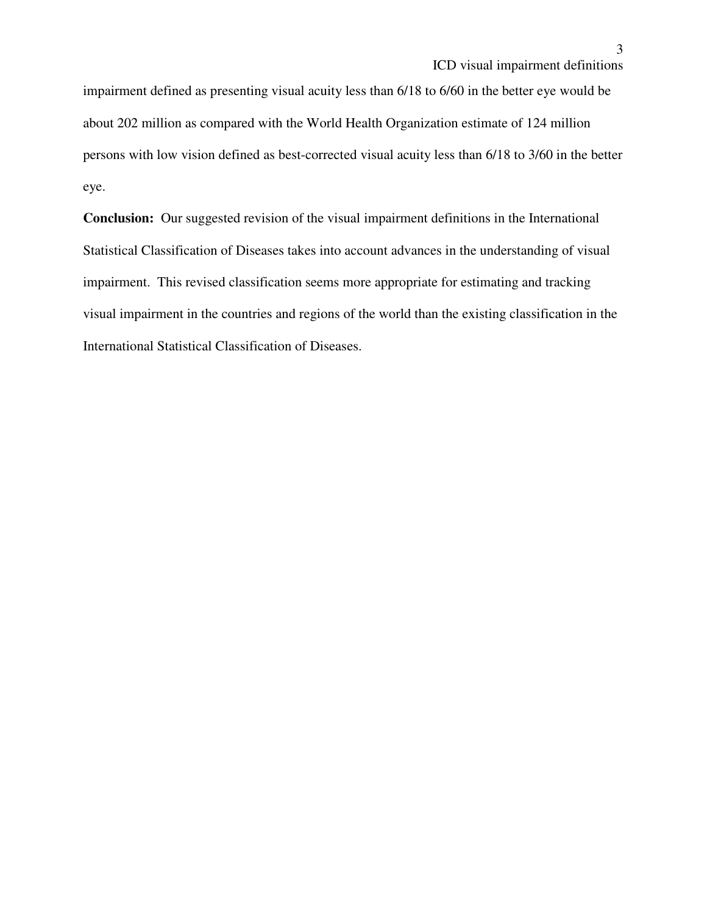impairment defined as presenting visual acuity less than 6/18 to 6/60 in the better eye would be about 202 million as compared with the World Health Organization estimate of 124 million persons with low vision defined as best-corrected visual acuity less than 6/18 to 3/60 in the better eye.

**Conclusion:** Our suggested revision of the visual impairment definitions in the International Statistical Classification of Diseases takes into account advances in the understanding of visual impairment. This revised classification seems more appropriate for estimating and tracking visual impairment in the countries and regions of the world than the existing classification in the International Statistical Classification of Diseases.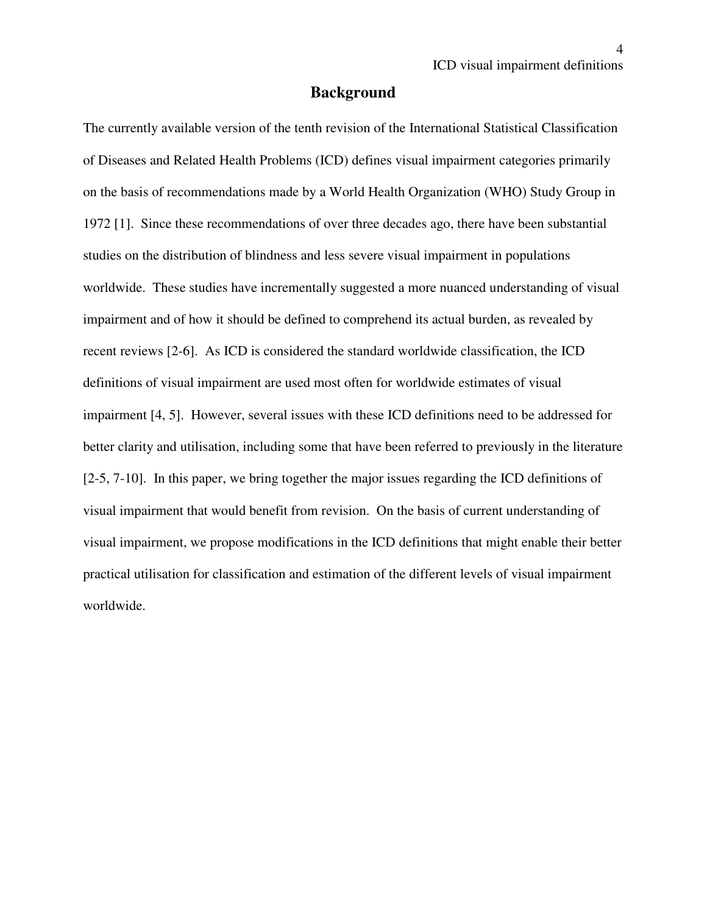#### **Background**

The currently available version of the tenth revision of the International Statistical Classification of Diseases and Related Health Problems (ICD) defines visual impairment categories primarily on the basis of recommendations made by a World Health Organization (WHO) Study Group in 1972 [1]. Since these recommendations of over three decades ago, there have been substantial studies on the distribution of blindness and less severe visual impairment in populations worldwide. These studies have incrementally suggested a more nuanced understanding of visual impairment and of how it should be defined to comprehend its actual burden, as revealed by recent reviews [2-6]. As ICD is considered the standard worldwide classification, the ICD definitions of visual impairment are used most often for worldwide estimates of visual impairment [4, 5]. However, several issues with these ICD definitions need to be addressed for better clarity and utilisation, including some that have been referred to previously in the literature [2-5, 7-10]. In this paper, we bring together the major issues regarding the ICD definitions of visual impairment that would benefit from revision. On the basis of current understanding of visual impairment, we propose modifications in the ICD definitions that might enable their better practical utilisation for classification and estimation of the different levels of visual impairment worldwide.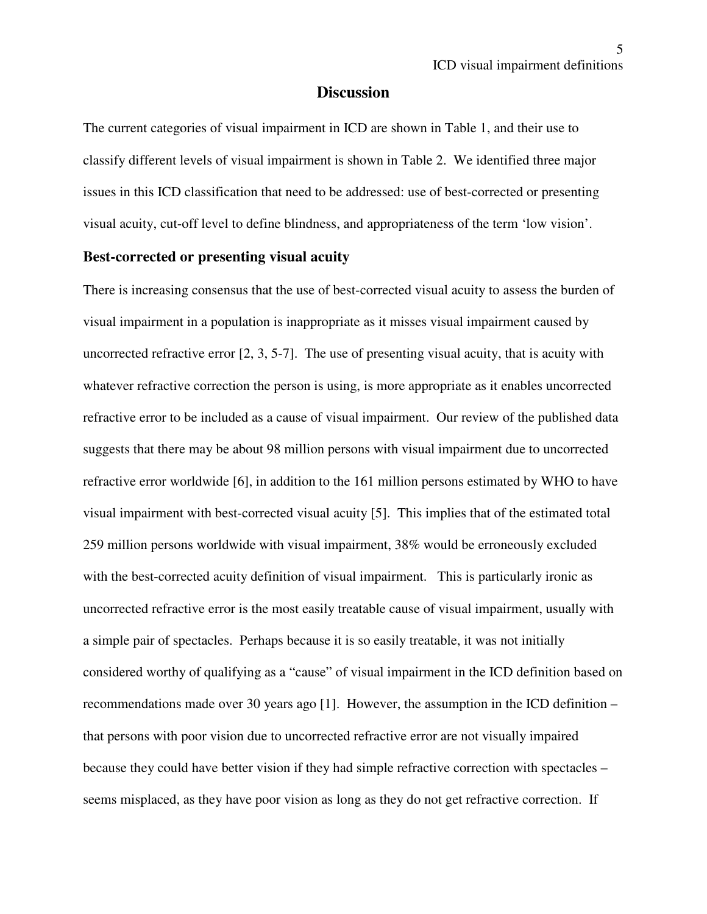#### **Discussion**

The current categories of visual impairment in ICD are shown in Table 1, and their use to classify different levels of visual impairment is shown in Table 2. We identified three major issues in this ICD classification that need to be addressed: use of best-corrected or presenting visual acuity, cut-off level to define blindness, and appropriateness of the term 'low vision'.

#### **Best-corrected or presenting visual acuity**

There is increasing consensus that the use of best-corrected visual acuity to assess the burden of visual impairment in a population is inappropriate as it misses visual impairment caused by uncorrected refractive error [2, 3, 5-7]. The use of presenting visual acuity, that is acuity with whatever refractive correction the person is using, is more appropriate as it enables uncorrected refractive error to be included as a cause of visual impairment. Our review of the published data suggests that there may be about 98 million persons with visual impairment due to uncorrected refractive error worldwide [6], in addition to the 161 million persons estimated by WHO to have visual impairment with best-corrected visual acuity [5]. This implies that of the estimated total 259 million persons worldwide with visual impairment, 38% would be erroneously excluded with the best-corrected acuity definition of visual impairment. This is particularly ironic as uncorrected refractive error is the most easily treatable cause of visual impairment, usually with a simple pair of spectacles. Perhaps because it is so easily treatable, it was not initially considered worthy of qualifying as a "cause" of visual impairment in the ICD definition based on recommendations made over 30 years ago [1]. However, the assumption in the ICD definition – that persons with poor vision due to uncorrected refractive error are not visually impaired because they could have better vision if they had simple refractive correction with spectacles – seems misplaced, as they have poor vision as long as they do not get refractive correction. If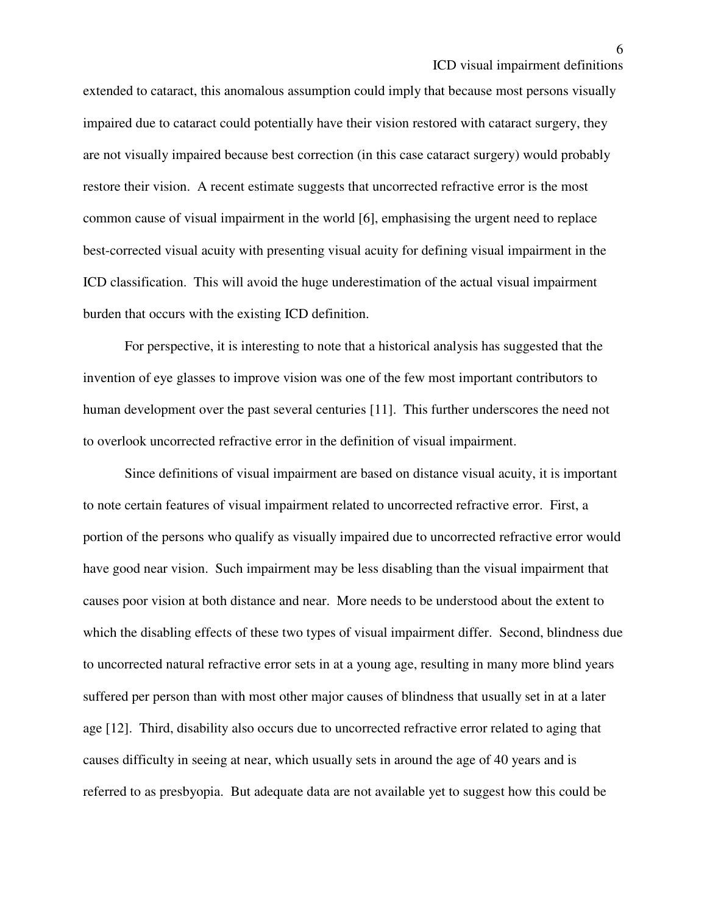extended to cataract, this anomalous assumption could imply that because most persons visually impaired due to cataract could potentially have their vision restored with cataract surgery, they are not visually impaired because best correction (in this case cataract surgery) would probably restore their vision. A recent estimate suggests that uncorrected refractive error is the most common cause of visual impairment in the world [6], emphasising the urgent need to replace best-corrected visual acuity with presenting visual acuity for defining visual impairment in the ICD classification. This will avoid the huge underestimation of the actual visual impairment burden that occurs with the existing ICD definition.

For perspective, it is interesting to note that a historical analysis has suggested that the invention of eye glasses to improve vision was one of the few most important contributors to human development over the past several centuries [11]. This further underscores the need not to overlook uncorrected refractive error in the definition of visual impairment.

Since definitions of visual impairment are based on distance visual acuity, it is important to note certain features of visual impairment related to uncorrected refractive error. First, a portion of the persons who qualify as visually impaired due to uncorrected refractive error would have good near vision. Such impairment may be less disabling than the visual impairment that causes poor vision at both distance and near. More needs to be understood about the extent to which the disabling effects of these two types of visual impairment differ. Second, blindness due to uncorrected natural refractive error sets in at a young age, resulting in many more blind years suffered per person than with most other major causes of blindness that usually set in at a later age [12]. Third, disability also occurs due to uncorrected refractive error related to aging that causes difficulty in seeing at near, which usually sets in around the age of 40 years and is referred to as presbyopia. But adequate data are not available yet to suggest how this could be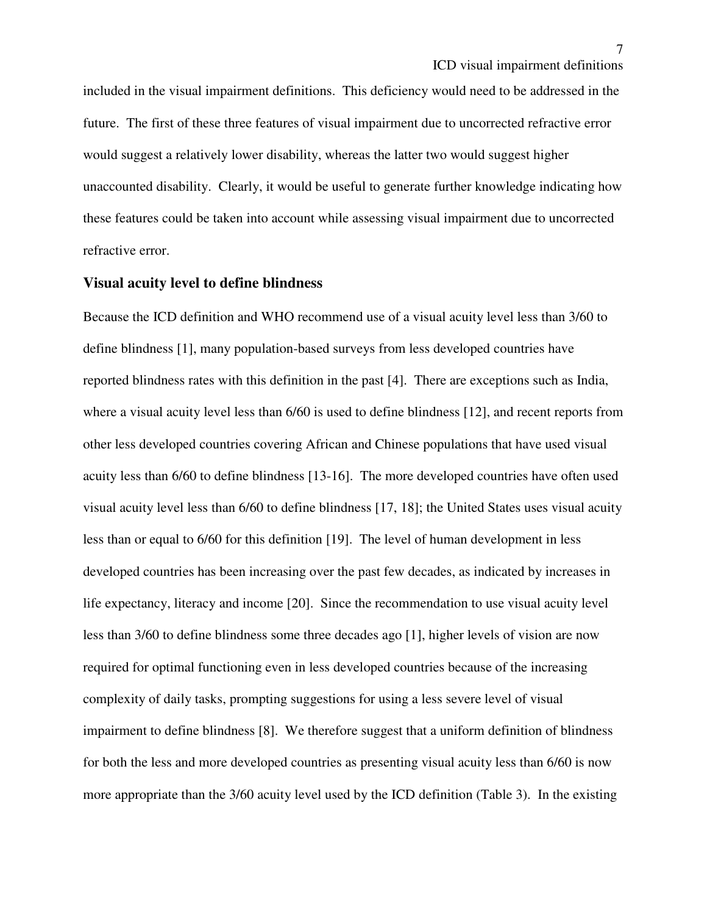included in the visual impairment definitions. This deficiency would need to be addressed in the future. The first of these three features of visual impairment due to uncorrected refractive error would suggest a relatively lower disability, whereas the latter two would suggest higher unaccounted disability. Clearly, it would be useful to generate further knowledge indicating how these features could be taken into account while assessing visual impairment due to uncorrected refractive error.

## **Visual acuity level to define blindness**

Because the ICD definition and WHO recommend use of a visual acuity level less than 3/60 to define blindness [1], many population-based surveys from less developed countries have reported blindness rates with this definition in the past [4]. There are exceptions such as India, where a visual acuity level less than 6/60 is used to define blindness [12], and recent reports from other less developed countries covering African and Chinese populations that have used visual acuity less than 6/60 to define blindness [13-16]. The more developed countries have often used visual acuity level less than 6/60 to define blindness [17, 18]; the United States uses visual acuity less than or equal to 6/60 for this definition [19]. The level of human development in less developed countries has been increasing over the past few decades, as indicated by increases in life expectancy, literacy and income [20]. Since the recommendation to use visual acuity level less than 3/60 to define blindness some three decades ago [1], higher levels of vision are now required for optimal functioning even in less developed countries because of the increasing complexity of daily tasks, prompting suggestions for using a less severe level of visual impairment to define blindness [8]. We therefore suggest that a uniform definition of blindness for both the less and more developed countries as presenting visual acuity less than 6/60 is now more appropriate than the 3/60 acuity level used by the ICD definition (Table 3). In the existing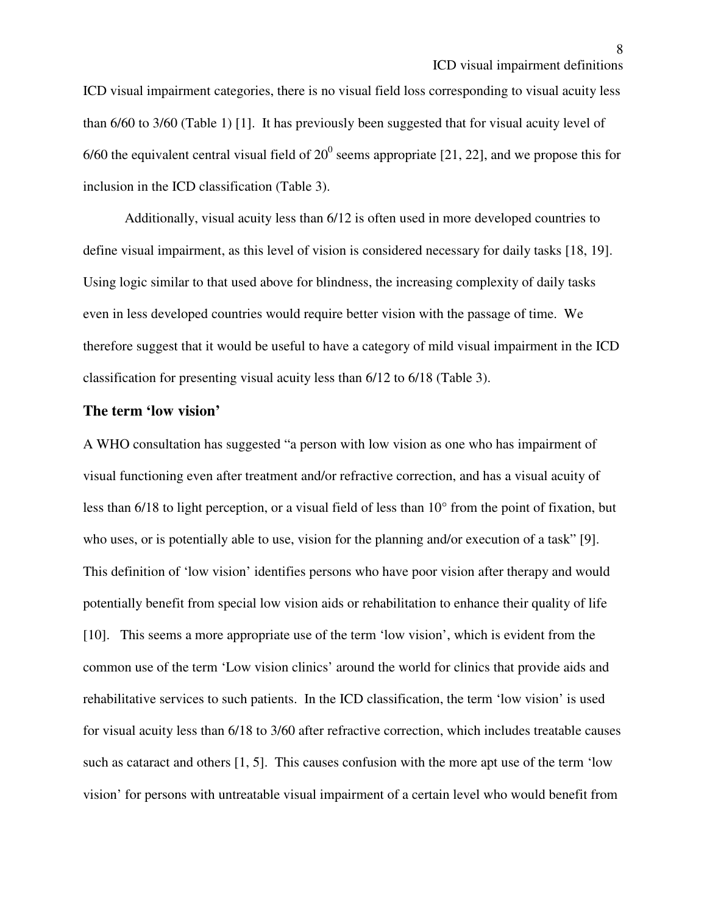ICD visual impairment categories, there is no visual field loss corresponding to visual acuity less than 6/60 to 3/60 (Table 1) [1]. It has previously been suggested that for visual acuity level of 6/60 the equivalent central visual field of  $20^0$  seems appropriate [21, 22], and we propose this for inclusion in the ICD classification (Table 3).

 Additionally, visual acuity less than 6/12 is often used in more developed countries to define visual impairment, as this level of vision is considered necessary for daily tasks [18, 19]. Using logic similar to that used above for blindness, the increasing complexity of daily tasks even in less developed countries would require better vision with the passage of time. We therefore suggest that it would be useful to have a category of mild visual impairment in the ICD classification for presenting visual acuity less than 6/12 to 6/18 (Table 3).

#### **The term 'low vision'**

A WHO consultation has suggested "a person with low vision as one who has impairment of visual functioning even after treatment and/or refractive correction, and has a visual acuity of less than 6/18 to light perception, or a visual field of less than 10° from the point of fixation, but who uses, or is potentially able to use, vision for the planning and/or execution of a task" [9]. This definition of 'low vision' identifies persons who have poor vision after therapy and would potentially benefit from special low vision aids or rehabilitation to enhance their quality of life [10]. This seems a more appropriate use of the term 'low vision', which is evident from the common use of the term 'Low vision clinics' around the world for clinics that provide aids and rehabilitative services to such patients. In the ICD classification, the term 'low vision' is used for visual acuity less than 6/18 to 3/60 after refractive correction, which includes treatable causes such as cataract and others [1, 5]. This causes confusion with the more apt use of the term 'low vision' for persons with untreatable visual impairment of a certain level who would benefit from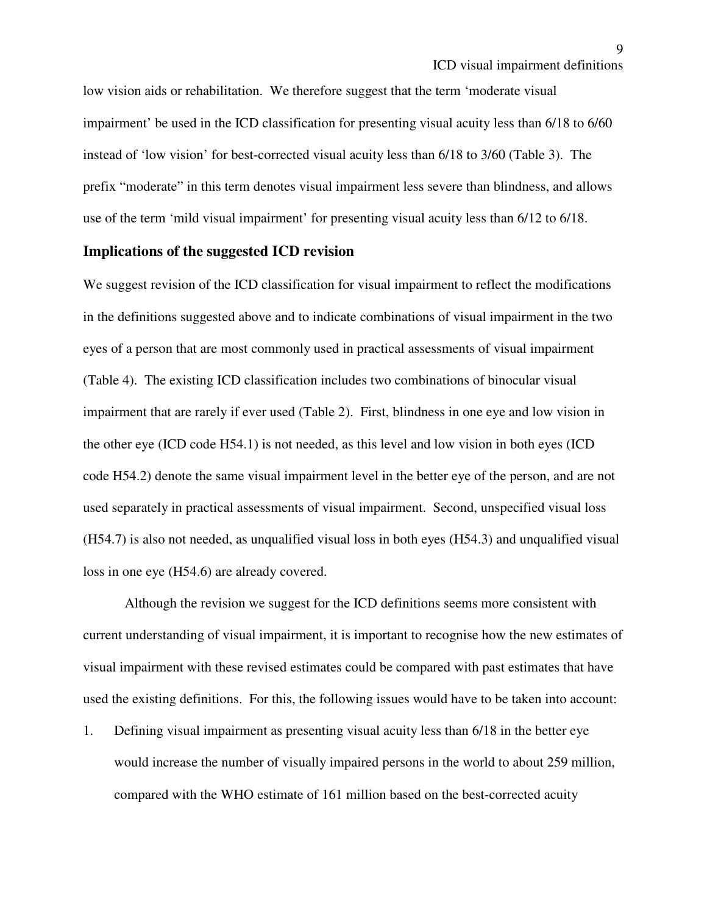low vision aids or rehabilitation. We therefore suggest that the term 'moderate visual impairment' be used in the ICD classification for presenting visual acuity less than 6/18 to 6/60 instead of 'low vision' for best-corrected visual acuity less than 6/18 to 3/60 (Table 3). The prefix "moderate" in this term denotes visual impairment less severe than blindness, and allows use of the term 'mild visual impairment' for presenting visual acuity less than 6/12 to 6/18.

## **Implications of the suggested ICD revision**

We suggest revision of the ICD classification for visual impairment to reflect the modifications in the definitions suggested above and to indicate combinations of visual impairment in the two eyes of a person that are most commonly used in practical assessments of visual impairment (Table 4). The existing ICD classification includes two combinations of binocular visual impairment that are rarely if ever used (Table 2). First, blindness in one eye and low vision in the other eye (ICD code H54.1) is not needed, as this level and low vision in both eyes (ICD code H54.2) denote the same visual impairment level in the better eye of the person, and are not used separately in practical assessments of visual impairment. Second, unspecified visual loss (H54.7) is also not needed, as unqualified visual loss in both eyes (H54.3) and unqualified visual loss in one eye (H54.6) are already covered.

Although the revision we suggest for the ICD definitions seems more consistent with current understanding of visual impairment, it is important to recognise how the new estimates of visual impairment with these revised estimates could be compared with past estimates that have used the existing definitions. For this, the following issues would have to be taken into account:

1. Defining visual impairment as presenting visual acuity less than 6/18 in the better eye would increase the number of visually impaired persons in the world to about 259 million, compared with the WHO estimate of 161 million based on the best-corrected acuity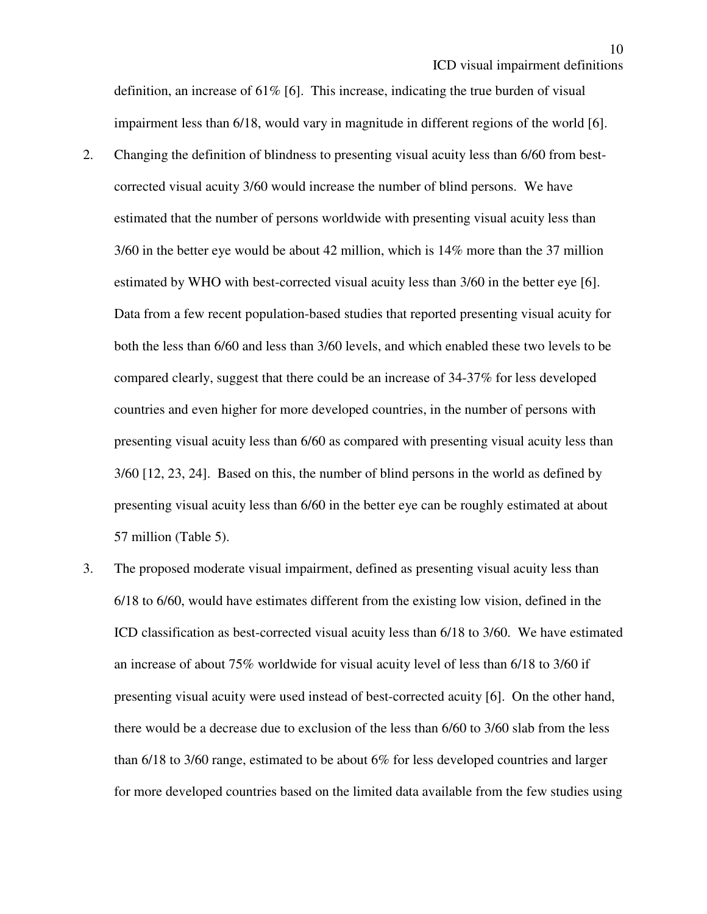10

definition, an increase of 61% [6]. This increase, indicating the true burden of visual impairment less than 6/18, would vary in magnitude in different regions of the world [6].

- 2. Changing the definition of blindness to presenting visual acuity less than 6/60 from bestcorrected visual acuity 3/60 would increase the number of blind persons. We have estimated that the number of persons worldwide with presenting visual acuity less than 3/60 in the better eye would be about 42 million, which is 14% more than the 37 million estimated by WHO with best-corrected visual acuity less than 3/60 in the better eye [6]. Data from a few recent population-based studies that reported presenting visual acuity for both the less than 6/60 and less than 3/60 levels, and which enabled these two levels to be compared clearly, suggest that there could be an increase of 34-37% for less developed countries and even higher for more developed countries, in the number of persons with presenting visual acuity less than 6/60 as compared with presenting visual acuity less than 3/60 [12, 23, 24]. Based on this, the number of blind persons in the world as defined by presenting visual acuity less than 6/60 in the better eye can be roughly estimated at about 57 million (Table 5).
- 3. The proposed moderate visual impairment, defined as presenting visual acuity less than 6/18 to 6/60, would have estimates different from the existing low vision, defined in the ICD classification as best-corrected visual acuity less than 6/18 to 3/60. We have estimated an increase of about 75% worldwide for visual acuity level of less than 6/18 to 3/60 if presenting visual acuity were used instead of best-corrected acuity [6]. On the other hand, there would be a decrease due to exclusion of the less than 6/60 to 3/60 slab from the less than 6/18 to 3/60 range, estimated to be about 6% for less developed countries and larger for more developed countries based on the limited data available from the few studies using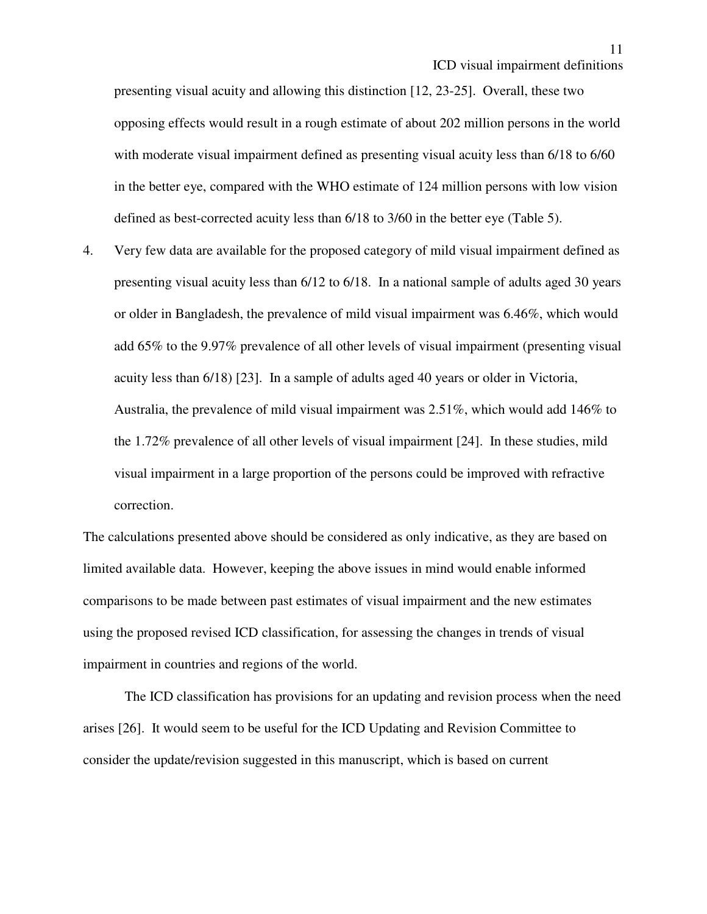presenting visual acuity and allowing this distinction [12, 23-25]. Overall, these two opposing effects would result in a rough estimate of about 202 million persons in the world with moderate visual impairment defined as presenting visual acuity less than 6/18 to 6/60 in the better eye, compared with the WHO estimate of 124 million persons with low vision defined as best-corrected acuity less than 6/18 to 3/60 in the better eye (Table 5).

4. Very few data are available for the proposed category of mild visual impairment defined as presenting visual acuity less than 6/12 to 6/18. In a national sample of adults aged 30 years or older in Bangladesh, the prevalence of mild visual impairment was 6.46%, which would add 65% to the 9.97% prevalence of all other levels of visual impairment (presenting visual acuity less than 6/18) [23]. In a sample of adults aged 40 years or older in Victoria, Australia, the prevalence of mild visual impairment was 2.51%, which would add 146% to the 1.72% prevalence of all other levels of visual impairment [24]. In these studies, mild visual impairment in a large proportion of the persons could be improved with refractive correction.

The calculations presented above should be considered as only indicative, as they are based on limited available data. However, keeping the above issues in mind would enable informed comparisons to be made between past estimates of visual impairment and the new estimates using the proposed revised ICD classification, for assessing the changes in trends of visual impairment in countries and regions of the world.

The ICD classification has provisions for an updating and revision process when the need arises [26]. It would seem to be useful for the ICD Updating and Revision Committee to consider the update/revision suggested in this manuscript, which is based on current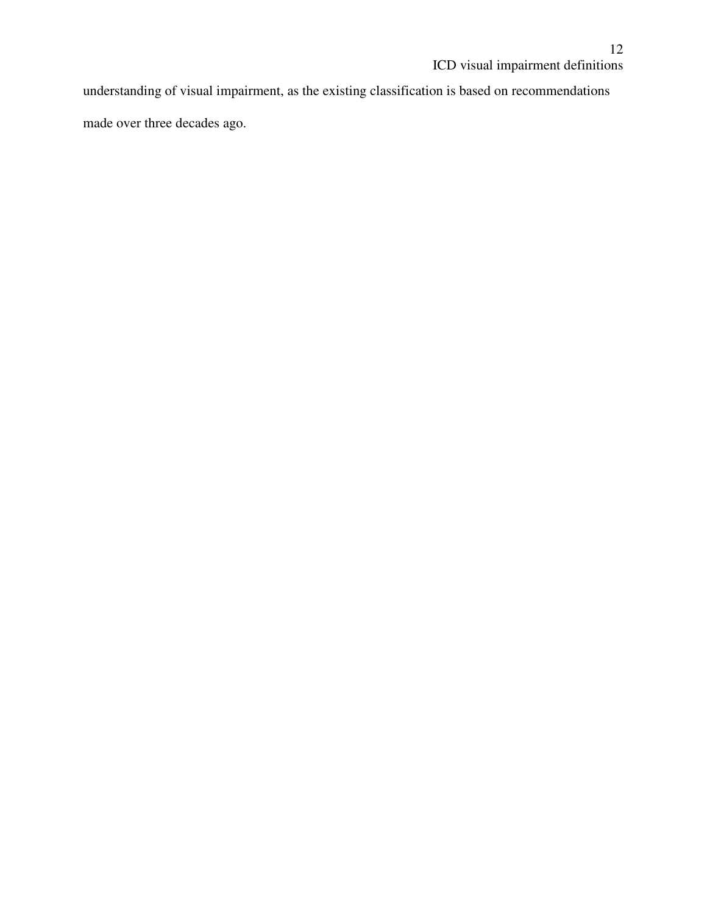understanding of visual impairment, as the existing classification is based on recommendations made over three decades ago.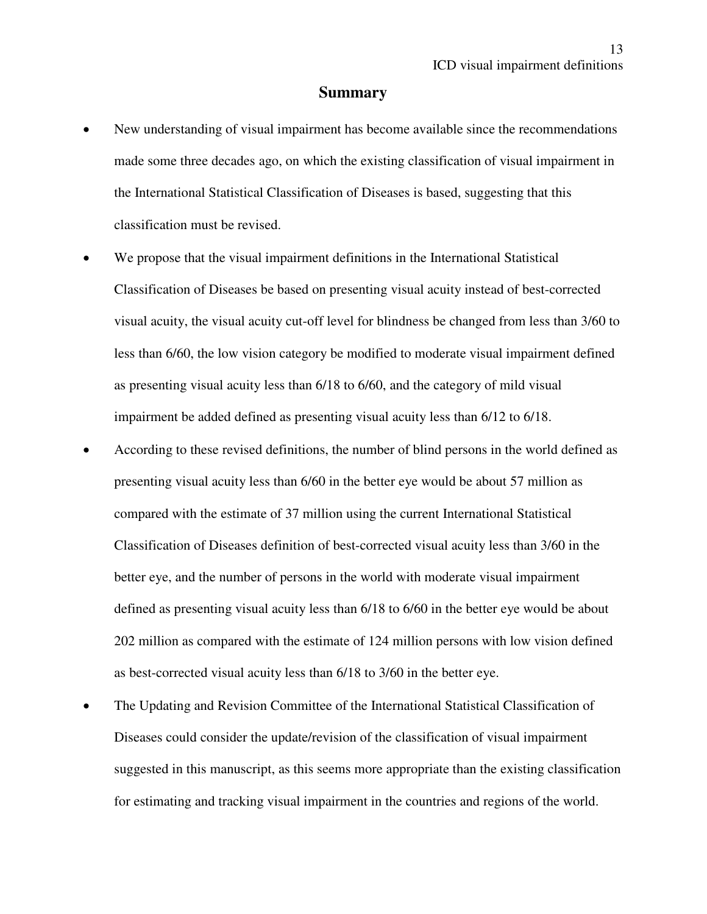#### **Summary**

- New understanding of visual impairment has become available since the recommendations made some three decades ago, on which the existing classification of visual impairment in the International Statistical Classification of Diseases is based, suggesting that this classification must be revised.
- We propose that the visual impairment definitions in the International Statistical Classification of Diseases be based on presenting visual acuity instead of best-corrected visual acuity, the visual acuity cut-off level for blindness be changed from less than 3/60 to less than 6/60, the low vision category be modified to moderate visual impairment defined as presenting visual acuity less than 6/18 to 6/60, and the category of mild visual impairment be added defined as presenting visual acuity less than 6/12 to 6/18.
- According to these revised definitions, the number of blind persons in the world defined as presenting visual acuity less than 6/60 in the better eye would be about 57 million as compared with the estimate of 37 million using the current International Statistical Classification of Diseases definition of best-corrected visual acuity less than 3/60 in the better eye, and the number of persons in the world with moderate visual impairment defined as presenting visual acuity less than 6/18 to 6/60 in the better eye would be about 202 million as compared with the estimate of 124 million persons with low vision defined as best-corrected visual acuity less than 6/18 to 3/60 in the better eye.
- The Updating and Revision Committee of the International Statistical Classification of Diseases could consider the update/revision of the classification of visual impairment suggested in this manuscript, as this seems more appropriate than the existing classification for estimating and tracking visual impairment in the countries and regions of the world.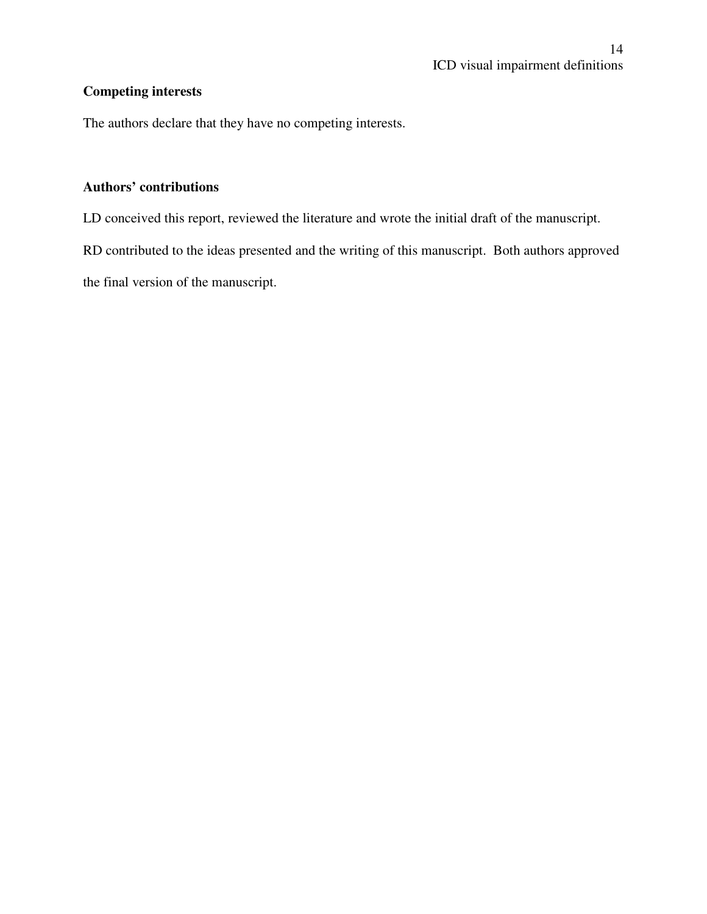# **Competing interests**

The authors declare that they have no competing interests.

# **Authors' contributions**

LD conceived this report, reviewed the literature and wrote the initial draft of the manuscript.

RD contributed to the ideas presented and the writing of this manuscript. Both authors approved the final version of the manuscript.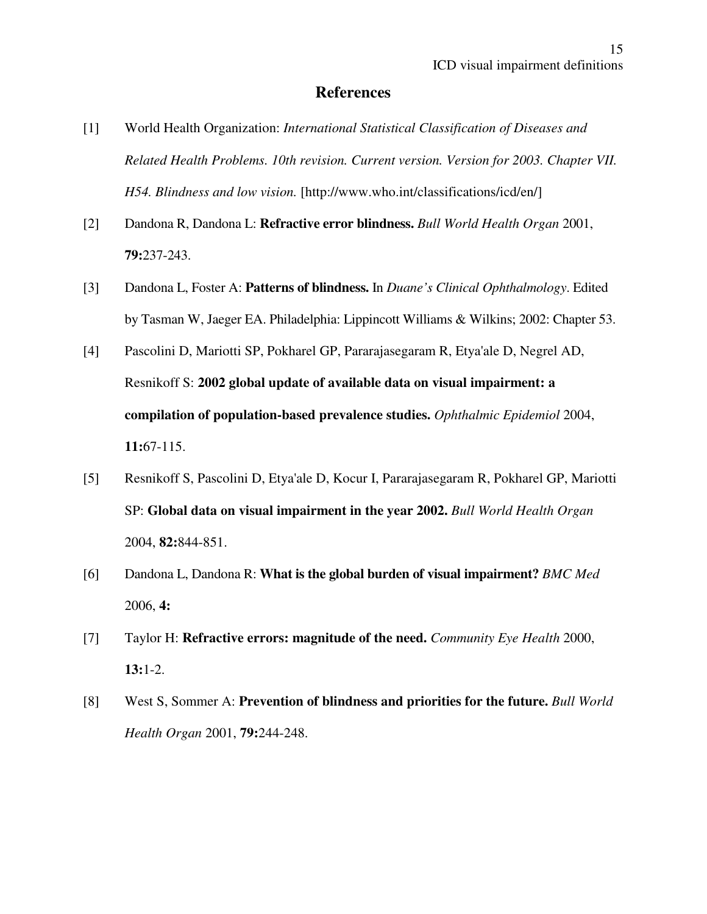## **References**

- [1] World Health Organization: *International Statistical Classification of Diseases and Related Health Problems. 10th revision. Current version. Version for 2003. Chapter VII. H54. Blindness and low vision.* [http://www.who.int/classifications/icd/en/]
- [2] Dandona R, Dandona L: **Refractive error blindness.** *Bull World Health Organ* 2001, **79:**237-243.
- [3] Dandona L, Foster A: **Patterns of blindness.** In *Duane's Clinical Ophthalmology*. Edited by Tasman W, Jaeger EA. Philadelphia: Lippincott Williams & Wilkins; 2002: Chapter 53.
- [4] Pascolini D, Mariotti SP, Pokharel GP, Pararajasegaram R, Etya'ale D, Negrel AD, Resnikoff S: **2002 global update of available data on visual impairment: a compilation of population-based prevalence studies.** *Ophthalmic Epidemiol* 2004, **11:**67-115.
- [5] Resnikoff S, Pascolini D, Etya'ale D, Kocur I, Pararajasegaram R, Pokharel GP, Mariotti SP: **Global data on visual impairment in the year 2002.** *Bull World Health Organ* 2004, **82:**844-851.
- [6] Dandona L, Dandona R: **What is the global burden of visual impairment?** *BMC Med* 2006, **4:**
- [7] Taylor H: **Refractive errors: magnitude of the need.** *Community Eye Health* 2000, **13:**1-2.
- [8] West S, Sommer A: **Prevention of blindness and priorities for the future.** *Bull World Health Organ* 2001, **79:**244-248.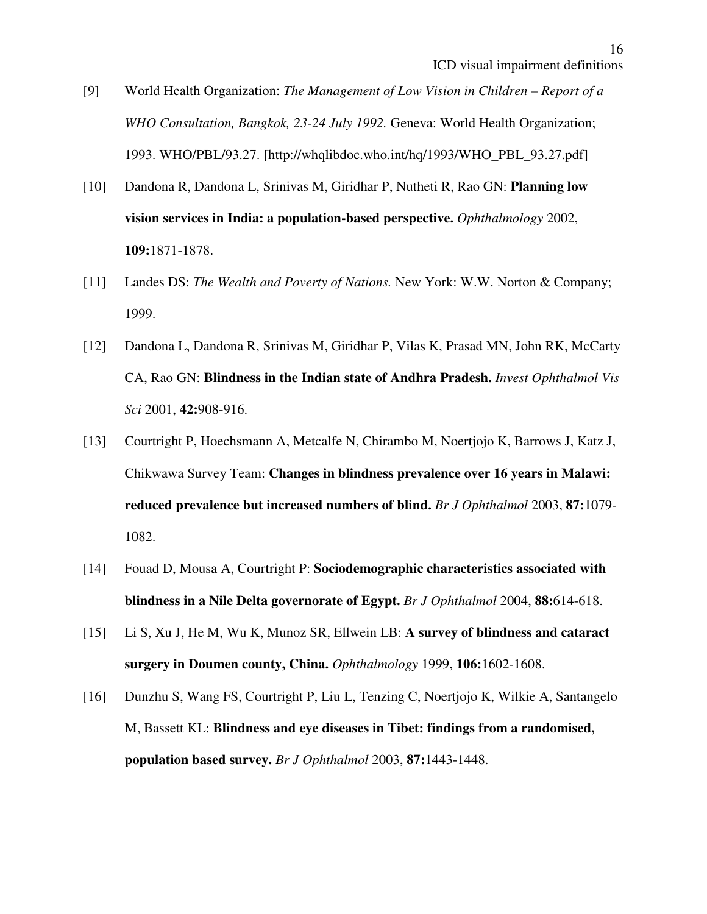16

- [9] World Health Organization: *The Management of Low Vision in Children Report of a WHO Consultation, Bangkok, 23-24 July 1992.* Geneva: World Health Organization; 1993. WHO/PBL/93.27. [http://whqlibdoc.who.int/hq/1993/WHO\_PBL\_93.27.pdf]
- [10] Dandona R, Dandona L, Srinivas M, Giridhar P, Nutheti R, Rao GN: **Planning low vision services in India: a population-based perspective.** *Ophthalmology* 2002, **109:**1871-1878.
- [11] Landes DS: *The Wealth and Poverty of Nations.* New York: W.W. Norton & Company; 1999.
- [12] Dandona L, Dandona R, Srinivas M, Giridhar P, Vilas K, Prasad MN, John RK, McCarty CA, Rao GN: **Blindness in the Indian state of Andhra Pradesh.** *Invest Ophthalmol Vis Sci* 2001, **42:**908-916.
- [13] Courtright P, Hoechsmann A, Metcalfe N, Chirambo M, Noertjojo K, Barrows J, Katz J, Chikwawa Survey Team: **Changes in blindness prevalence over 16 years in Malawi: reduced prevalence but increased numbers of blind.** *Br J Ophthalmol* 2003, **87:**1079- 1082.
- [14] Fouad D, Mousa A, Courtright P: **Sociodemographic characteristics associated with blindness in a Nile Delta governorate of Egypt.** *Br J Ophthalmol* 2004, **88:**614-618.
- [15] Li S, Xu J, He M, Wu K, Munoz SR, Ellwein LB: **A survey of blindness and cataract surgery in Doumen county, China.** *Ophthalmology* 1999, **106:**1602-1608.
- [16] Dunzhu S, Wang FS, Courtright P, Liu L, Tenzing C, Noertjojo K, Wilkie A, Santangelo M, Bassett KL: **Blindness and eye diseases in Tibet: findings from a randomised, population based survey.** *Br J Ophthalmol* 2003, **87:**1443-1448.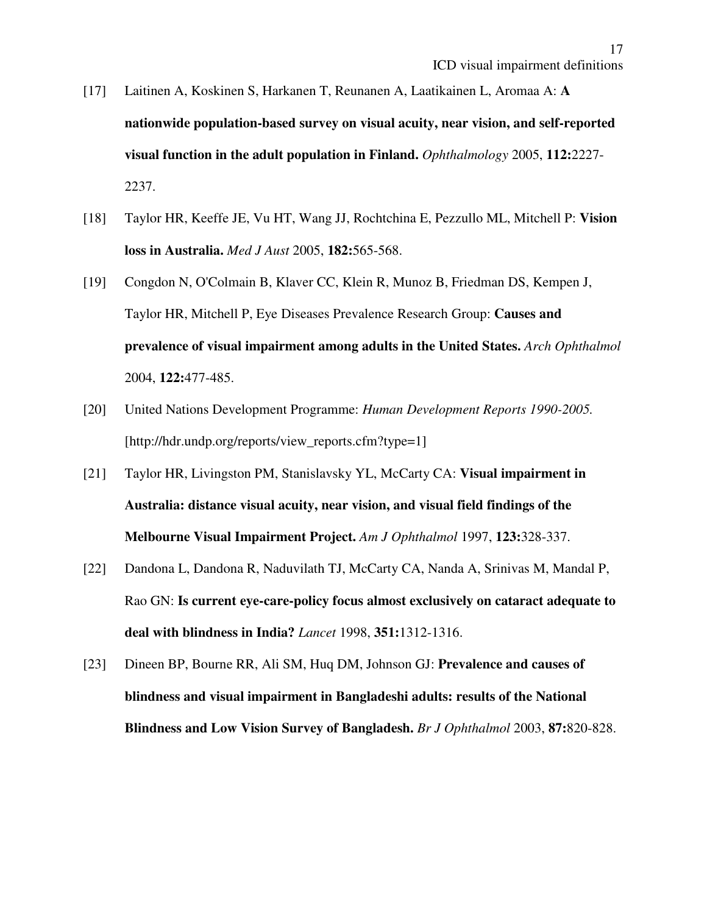- [17] Laitinen A, Koskinen S, Harkanen T, Reunanen A, Laatikainen L, Aromaa A: **A nationwide population-based survey on visual acuity, near vision, and self-reported visual function in the adult population in Finland.** *Ophthalmology* 2005, **112:**2227- 2237.
- [18] Taylor HR, Keeffe JE, Vu HT, Wang JJ, Rochtchina E, Pezzullo ML, Mitchell P: **Vision loss in Australia.** *Med J Aust* 2005, **182:**565-568.
- [19] Congdon N, O'Colmain B, Klaver CC, Klein R, Munoz B, Friedman DS, Kempen J, Taylor HR, Mitchell P, Eye Diseases Prevalence Research Group: **Causes and prevalence of visual impairment among adults in the United States.** *Arch Ophthalmol* 2004, **122:**477-485.
- [20] United Nations Development Programme: *Human Development Reports 1990-2005.* [http://hdr.undp.org/reports/view\_reports.cfm?type=1]
- [21] Taylor HR, Livingston PM, Stanislavsky YL, McCarty CA: **Visual impairment in Australia: distance visual acuity, near vision, and visual field findings of the Melbourne Visual Impairment Project.** *Am J Ophthalmol* 1997, **123:**328-337.
- [22] Dandona L, Dandona R, Naduvilath TJ, McCarty CA, Nanda A, Srinivas M, Mandal P, Rao GN: **Is current eye-care-policy focus almost exclusively on cataract adequate to deal with blindness in India?** *Lancet* 1998, **351:**1312-1316.
- [23] Dineen BP, Bourne RR, Ali SM, Huq DM, Johnson GJ: **Prevalence and causes of blindness and visual impairment in Bangladeshi adults: results of the National Blindness and Low Vision Survey of Bangladesh.** *Br J Ophthalmol* 2003, **87:**820-828.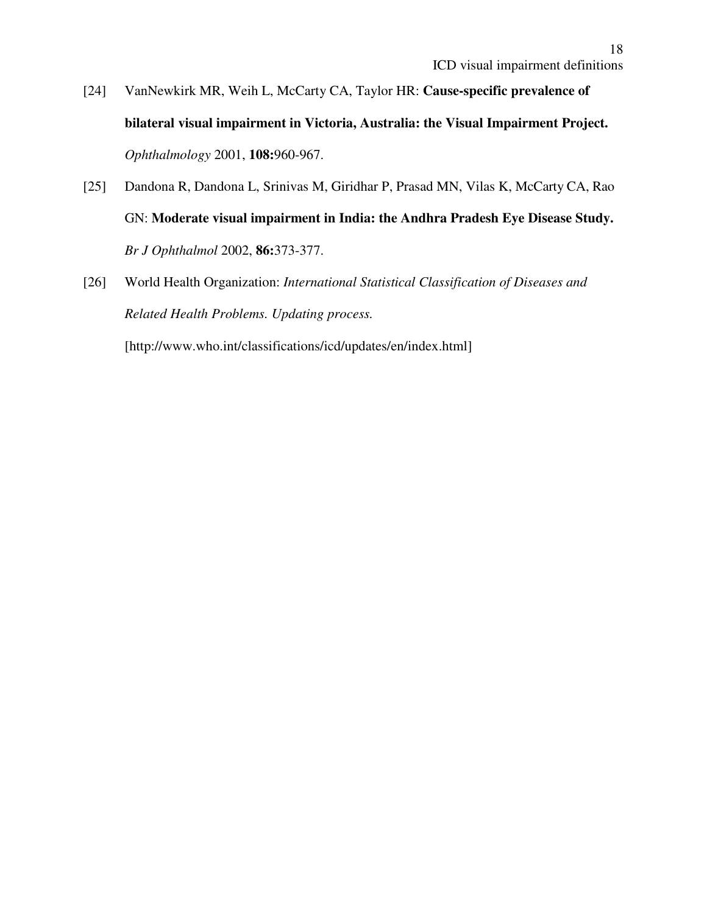- [24] VanNewkirk MR, Weih L, McCarty CA, Taylor HR: **Cause-specific prevalence of bilateral visual impairment in Victoria, Australia: the Visual Impairment Project.**  *Ophthalmology* 2001, **108:**960-967.
- [25] Dandona R, Dandona L, Srinivas M, Giridhar P, Prasad MN, Vilas K, McCarty CA, Rao GN: **Moderate visual impairment in India: the Andhra Pradesh Eye Disease Study.** *Br J Ophthalmol* 2002, **86:**373-377.
- [26] World Health Organization: *International Statistical Classification of Diseases and Related Health Problems. Updating process.*

[http://www.who.int/classifications/icd/updates/en/index.html]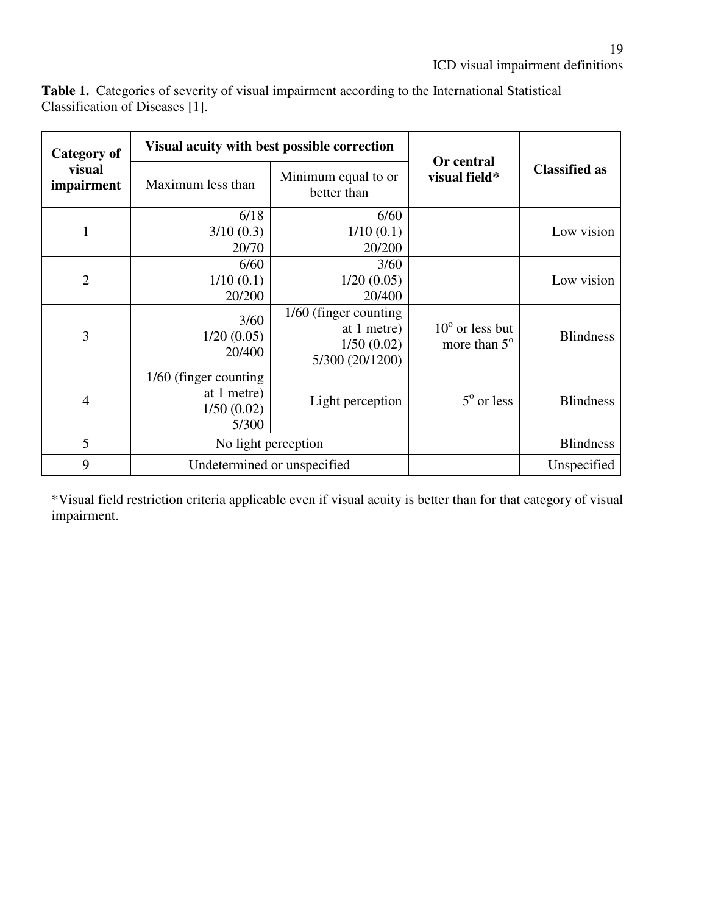| Category of<br>visual<br>impairment | Visual acuity with best possible correction                  |                                                                        |                                                   |                      |
|-------------------------------------|--------------------------------------------------------------|------------------------------------------------------------------------|---------------------------------------------------|----------------------|
|                                     | Maximum less than                                            | Minimum equal to or<br>better than                                     | Or central<br>visual field*                       | <b>Classified as</b> |
| $\mathbf{1}$                        | 6/18<br>3/10(0.3)<br>20/70                                   | 6/60<br>1/10(0.1)<br>20/200                                            |                                                   | Low vision           |
| $\overline{2}$                      | 6/60<br>1/10(0.1)<br>20/200                                  | 3/60<br>1/20(0.05)<br>20/400                                           |                                                   | Low vision           |
| 3                                   | 3/60<br>1/20(0.05)<br>20/400                                 | 1/60 (finger counting)<br>at 1 metre)<br>1/50(0.02)<br>5/300 (20/1200) | $10^{\circ}$ or less but<br>more than $5^{\circ}$ | <b>Blindness</b>     |
| $\overline{4}$                      | 1/60 (finger counting)<br>at 1 metre)<br>1/50(0.02)<br>5/300 | Light perception                                                       | $5^{\circ}$ or less                               | <b>Blindness</b>     |
| 5                                   | No light perception                                          |                                                                        |                                                   | <b>Blindness</b>     |
| 9                                   | Undetermined or unspecified                                  |                                                                        |                                                   | Unspecified          |

**Table 1.** Categories of severity of visual impairment according to the International Statistical Classification of Diseases [1].

\*Visual field restriction criteria applicable even if visual acuity is better than for that category of visual impairment.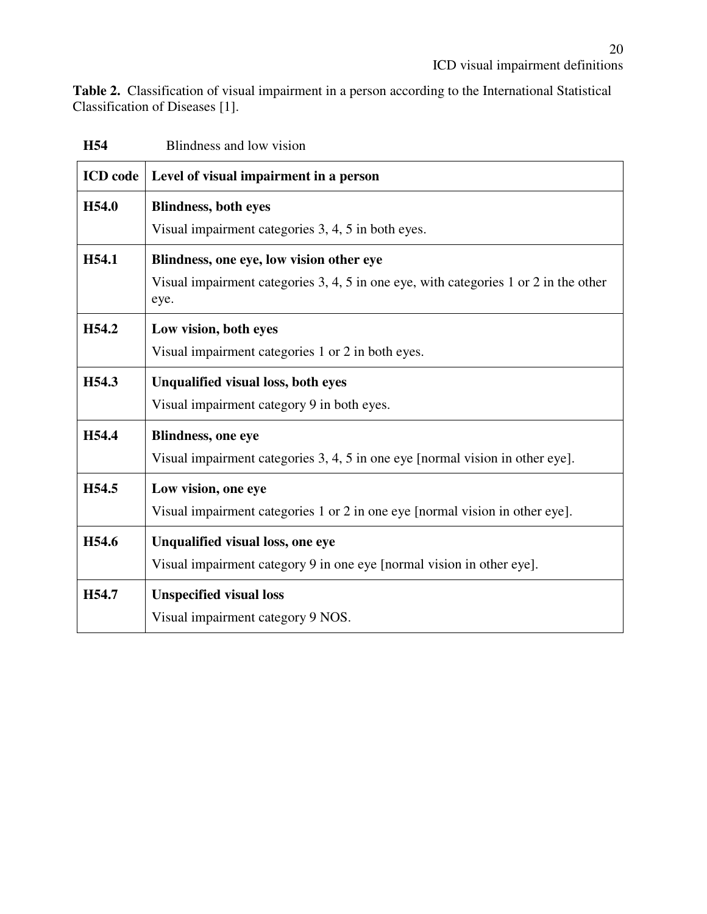**Table 2.** Classification of visual impairment in a person according to the International Statistical Classification of Diseases [1].

| <b>H54</b>        | Blindness and low vision                                                                       |  |  |
|-------------------|------------------------------------------------------------------------------------------------|--|--|
| <b>ICD</b> code   | Level of visual impairment in a person                                                         |  |  |
| H54.0             | <b>Blindness, both eyes</b>                                                                    |  |  |
|                   | Visual impairment categories 3, 4, 5 in both eyes.                                             |  |  |
| H54.1             | Blindness, one eye, low vision other eye                                                       |  |  |
|                   | Visual impairment categories $3, 4, 5$ in one eye, with categories 1 or 2 in the other<br>eye. |  |  |
| H <sub>54.2</sub> | Low vision, both eyes                                                                          |  |  |
|                   | Visual impairment categories 1 or 2 in both eyes.                                              |  |  |
| H54.3             | <b>Unqualified visual loss, both eyes</b>                                                      |  |  |
|                   | Visual impairment category 9 in both eyes.                                                     |  |  |
| H54.4             | <b>Blindness, one eye</b>                                                                      |  |  |
|                   | Visual impairment categories 3, 4, 5 in one eye [normal vision in other eye].                  |  |  |
| H54.5             | Low vision, one eye                                                                            |  |  |
|                   | Visual impairment categories 1 or 2 in one eye [normal vision in other eye].                   |  |  |
| H54.6             | Unqualified visual loss, one eye                                                               |  |  |
|                   | Visual impairment category 9 in one eye [normal vision in other eye].                          |  |  |
| H54.7             | <b>Unspecified visual loss</b>                                                                 |  |  |
|                   | Visual impairment category 9 NOS.                                                              |  |  |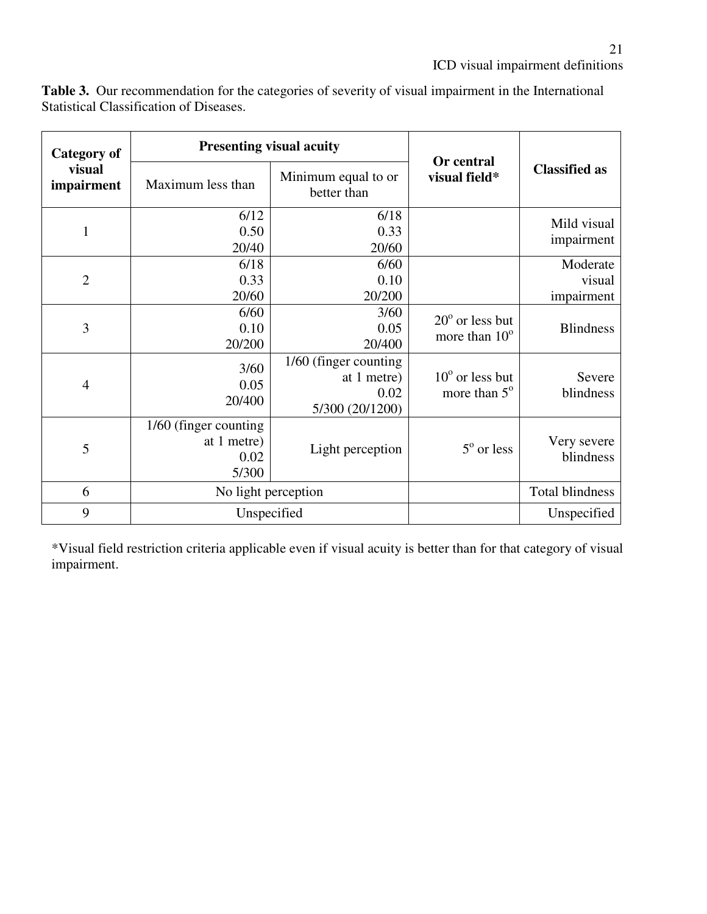| Category of<br>visual<br>impairment | <b>Presenting visual acuity</b>                        |                                                                 |                                                    |                                  |
|-------------------------------------|--------------------------------------------------------|-----------------------------------------------------------------|----------------------------------------------------|----------------------------------|
|                                     | Maximum less than                                      | Minimum equal to or<br>better than                              | Or central<br>visual field*                        | <b>Classified as</b>             |
| $\mathbf{1}$                        | 6/12<br>0.50<br>20/40                                  | 6/18<br>0.33<br>20/60                                           |                                                    | Mild visual<br>impairment        |
| $\overline{2}$                      | 6/18<br>0.33<br>20/60                                  | 6/60<br>0.10<br>20/200                                          |                                                    | Moderate<br>visual<br>impairment |
| 3                                   | 6/60<br>0.10<br>20/200                                 | 3/60<br>0.05<br>20/400                                          | $20^{\circ}$ or less but<br>more than $10^{\circ}$ | <b>Blindness</b>                 |
| $\overline{4}$                      | 3/60<br>0.05<br>20/400                                 | 1/60 (finger counting<br>at 1 metre)<br>0.02<br>5/300 (20/1200) | $10^{\circ}$ or less but<br>more than $5^\circ$    | Severe<br>blindness              |
| 5                                   | 1/60 (finger counting)<br>at 1 metre)<br>0.02<br>5/300 | Light perception                                                | $5^{\circ}$ or less                                | Very severe<br>blindness         |
| 6                                   | No light perception                                    |                                                                 |                                                    | <b>Total blindness</b>           |
| 9                                   | Unspecified                                            |                                                                 |                                                    | Unspecified                      |

**Table 3.** Our recommendation for the categories of severity of visual impairment in the International Statistical Classification of Diseases.

\*Visual field restriction criteria applicable even if visual acuity is better than for that category of visual impairment.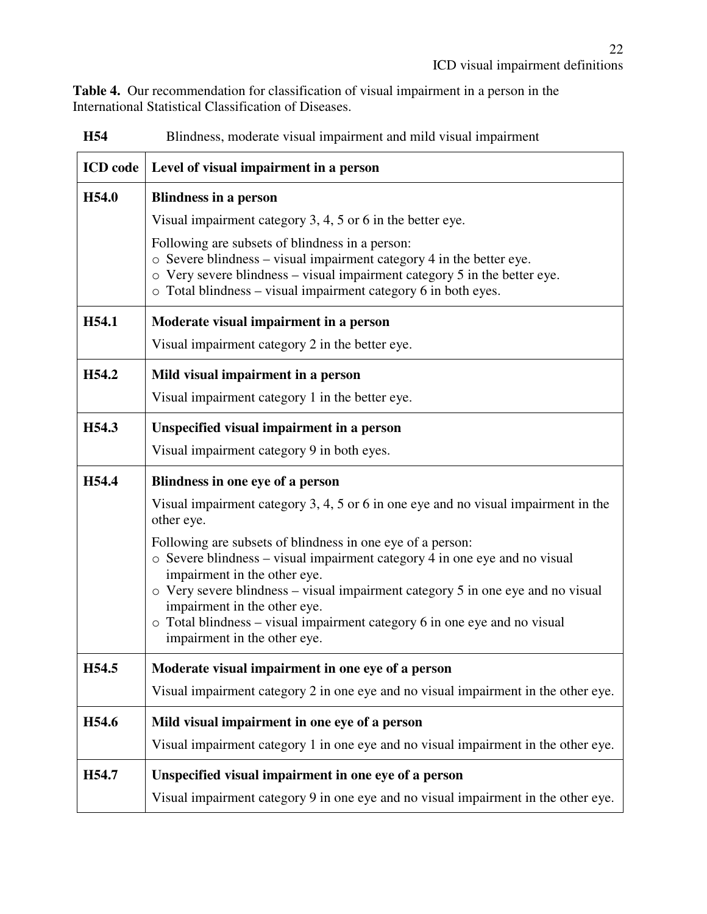**Table 4.** Our recommendation for classification of visual impairment in a person in the International Statistical Classification of Diseases.

| <b>ICD</b> code | Level of visual impairment in a person                                                                                                                                                                                                                                             |  |  |  |
|-----------------|------------------------------------------------------------------------------------------------------------------------------------------------------------------------------------------------------------------------------------------------------------------------------------|--|--|--|
| H54.0           | <b>Blindness in a person</b>                                                                                                                                                                                                                                                       |  |  |  |
|                 | Visual impairment category 3, 4, 5 or 6 in the better eye.                                                                                                                                                                                                                         |  |  |  |
|                 | Following are subsets of blindness in a person:<br>$\circ$ Severe blindness – visual impairment category 4 in the better eye.<br>$\circ$ Very severe blindness – visual impairment category 5 in the better eye.<br>o Total blindness - visual impairment category 6 in both eyes. |  |  |  |
| H54.1           | Moderate visual impairment in a person                                                                                                                                                                                                                                             |  |  |  |
|                 | Visual impairment category 2 in the better eye.                                                                                                                                                                                                                                    |  |  |  |
| H54.2           | Mild visual impairment in a person                                                                                                                                                                                                                                                 |  |  |  |
|                 | Visual impairment category 1 in the better eye.                                                                                                                                                                                                                                    |  |  |  |
| H54.3           | Unspecified visual impairment in a person                                                                                                                                                                                                                                          |  |  |  |
|                 | Visual impairment category 9 in both eyes.                                                                                                                                                                                                                                         |  |  |  |
| H54.4           | Blindness in one eye of a person                                                                                                                                                                                                                                                   |  |  |  |
|                 | Visual impairment category 3, 4, 5 or 6 in one eye and no visual impairment in the<br>other eye.                                                                                                                                                                                   |  |  |  |
|                 | Following are subsets of blindness in one eye of a person:                                                                                                                                                                                                                         |  |  |  |
|                 | o Severe blindness - visual impairment category 4 in one eye and no visual<br>impairment in the other eye.                                                                                                                                                                         |  |  |  |
|                 | o Very severe blindness – visual impairment category 5 in one eye and no visual<br>impairment in the other eye.                                                                                                                                                                    |  |  |  |
|                 | o Total blindness - visual impairment category 6 in one eye and no visual<br>impairment in the other eye.                                                                                                                                                                          |  |  |  |
| H54.5           | Moderate visual impairment in one eye of a person                                                                                                                                                                                                                                  |  |  |  |
|                 | Visual impairment category 2 in one eye and no visual impairment in the other eye.                                                                                                                                                                                                 |  |  |  |
| H54.6           | Mild visual impairment in one eye of a person                                                                                                                                                                                                                                      |  |  |  |
|                 | Visual impairment category 1 in one eye and no visual impairment in the other eye.                                                                                                                                                                                                 |  |  |  |
| H54.7           | Unspecified visual impairment in one eye of a person                                                                                                                                                                                                                               |  |  |  |
|                 | Visual impairment category 9 in one eye and no visual impairment in the other eye.                                                                                                                                                                                                 |  |  |  |

**H54** Blindness, moderate visual impairment and mild visual impairment